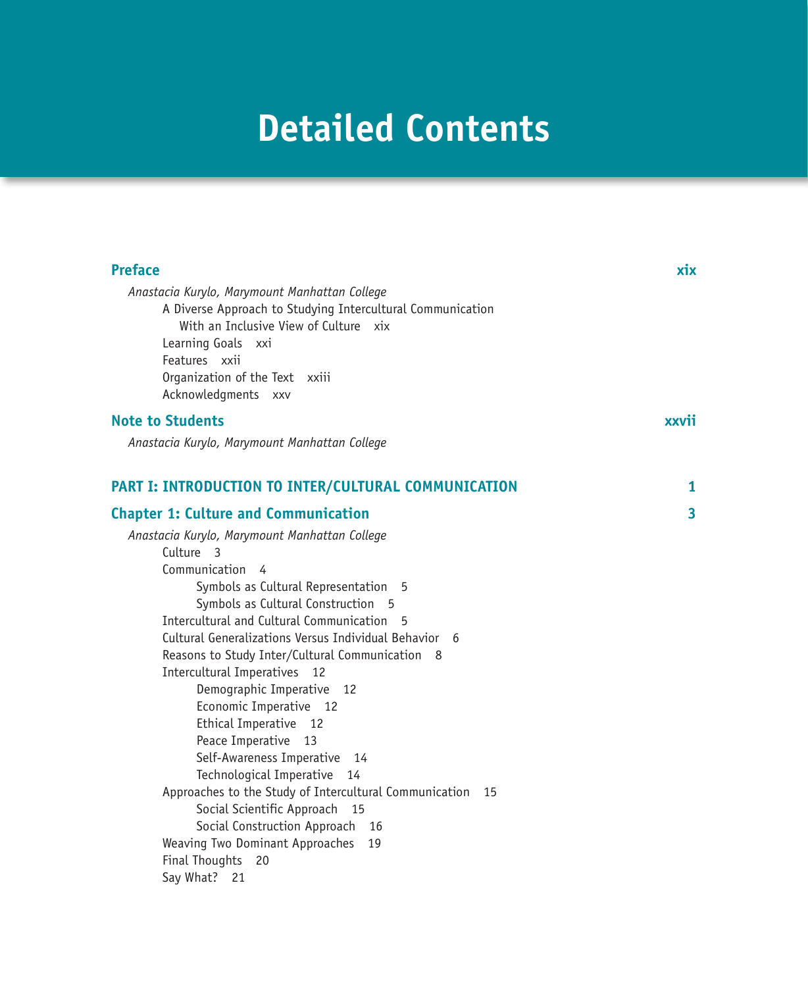# **Detailed Contents**

| <b>Preface</b>                                                                                              | xix   |
|-------------------------------------------------------------------------------------------------------------|-------|
| Anastacia Kurylo, Marymount Manhattan College<br>A Diverse Approach to Studying Intercultural Communication |       |
| With an Inclusive View of Culture xix                                                                       |       |
| Learning Goals xxi                                                                                          |       |
| Features xxii                                                                                               |       |
| Organization of the Text xxiii                                                                              |       |
| Acknowledgments xxv                                                                                         |       |
| <b>Note to Students</b>                                                                                     | xxvii |
| Anastacia Kurylo, Marymount Manhattan College                                                               |       |
| PART I: INTRODUCTION TO INTER/CULTURAL COMMUNICATION                                                        | 1     |
| <b>Chapter 1: Culture and Communication</b>                                                                 | 3     |
| Anastacia Kurylo, Marymount Manhattan College                                                               |       |
| Culture 3                                                                                                   |       |
| Communication 4                                                                                             |       |
| Symbols as Cultural Representation<br>- 5                                                                   |       |
| Symbols as Cultural Construction 5                                                                          |       |
| Intercultural and Cultural Communication<br>5                                                               |       |
| Cultural Generalizations Versus Individual Behavior 6                                                       |       |
| Reasons to Study Inter/Cultural Communication 8                                                             |       |
| Intercultural Imperatives 12                                                                                |       |
| Demographic Imperative 12                                                                                   |       |
| Economic Imperative 12                                                                                      |       |
| Ethical Imperative 12                                                                                       |       |
| Peace Imperative 13<br>Self-Awareness Imperative<br>14                                                      |       |
| Technological Imperative<br>14                                                                              |       |
| Approaches to the Study of Intercultural Communication 15                                                   |       |
| Social Scientific Approach<br>15                                                                            |       |
| Social Construction Approach<br>16                                                                          |       |
| Weaving Two Dominant Approaches<br>19                                                                       |       |
| Final Thoughts 20                                                                                           |       |
| Say What? 21                                                                                                |       |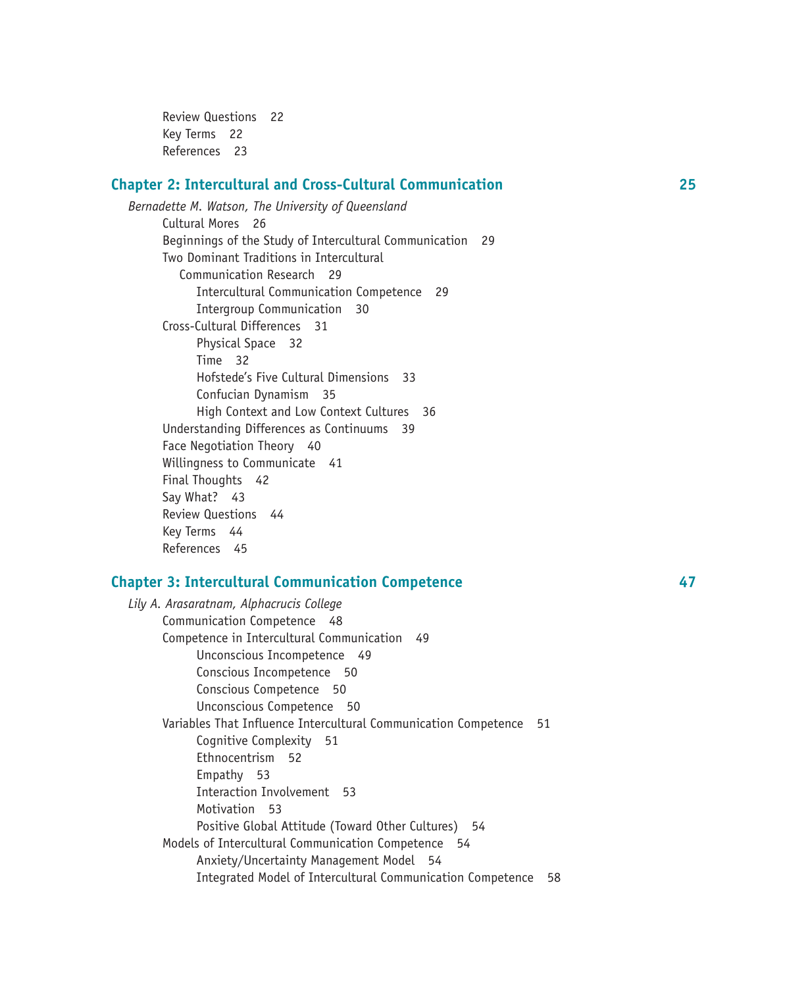Review Questions 22 Key Terms 22 References 23

#### **Chapter 2: Intercultural and Cross-Cultural Communication 25**

*Bernadette M. Watson, The University of Queensland* Cultural Mores 26 Beginnings of the Study of Intercultural Communication 29 Two Dominant Traditions in Intercultural Communication Research 29 Intercultural Communication Competence 29 Intergroup Communication 30 Cross-Cultural Differences 31 Physical Space 32 Time 32 Hofstede's Five Cultural Dimensions 33 Confucian Dynamism 35 High Context and Low Context Cultures 36 Understanding Differences as Continuums 39 Face Negotiation Theory 40 Willingness to Communicate 41 Final Thoughts 42 Say What? 43 Review Questions 44 Key Terms 44 References 45

#### **Chapter 3: Intercultural Communication Competence 47**

*Lily A. Arasaratnam, Alphacrucis College* Communication Competence 48 Competence in Intercultural Communication 49 Unconscious Incompetence 49 Conscious Incompetence 50 Conscious Competence 50 Unconscious Competence 50 Variables That Influence Intercultural Communication Competence51 Cognitive Complexity 51 Ethnocentrism 52 Empathy 53 Interaction Involvement 53 Motivation 53 Positive Global Attitude (Toward Other Cultures) 54 Models of Intercultural Communication Competence 54 Anxiety/Uncertainty Management Model 54 Integrated Model of Intercultural Communication Competence 58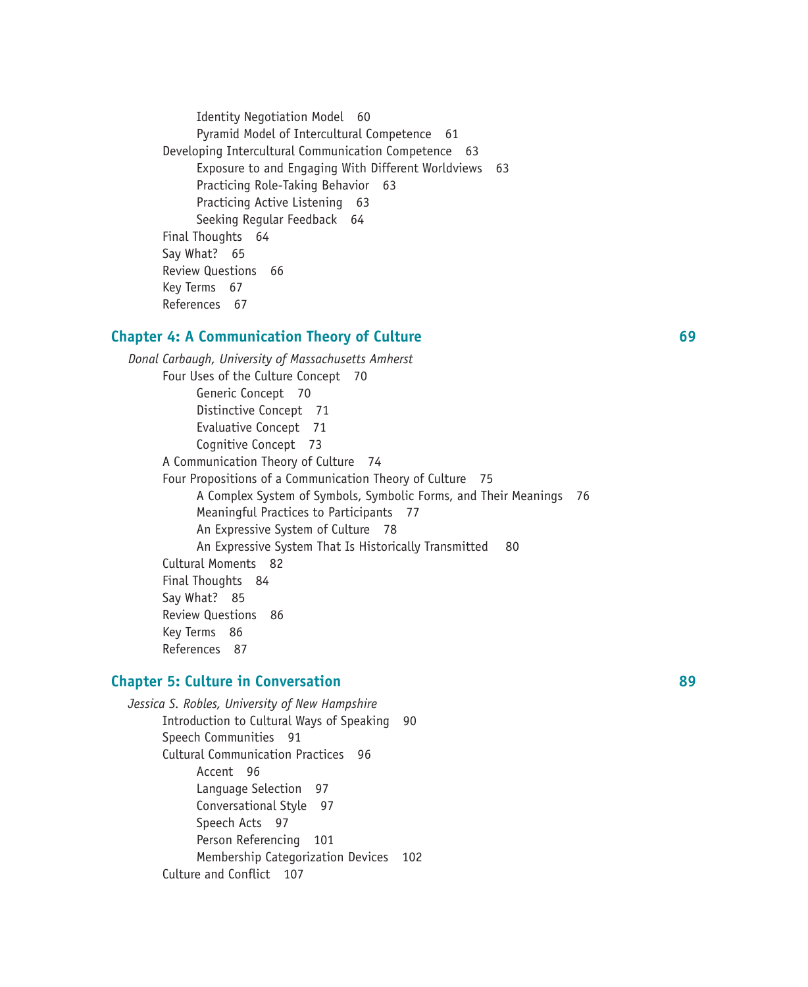Identity Negotiation Model 60 Pyramid Model of Intercultural Competence 61 Developing Intercultural Communication Competence 63 Exposure to and Engaging With Different Worldviews 63 Practicing Role-Taking Behavior 63 Practicing Active Listening 63 Seeking Regular Feedback 64 Final Thoughts 64 Say What? 65 Review Questions 66 Key Terms 67 References 67

#### **Chapter 4: A Communication Theory of Culture 69**

*Donal Carbaugh, University of Massachusetts Amherst*  Four Uses of the Culture Concept 70 Generic Concept 70 Distinctive Concept 71 Evaluative Concept 71 Cognitive Concept 73 A Communication Theory of Culture 74 Four Propositions of a Communication Theory of Culture 75 A Complex System of Symbols, Symbolic Forms, and Their Meanings 76 Meaningful Practices to Participants 77 An Expressive System of Culture 78 An Expressive System That Is Historically Transmitted 80 Cultural Moments 82 Final Thoughts 84 Say What? 85 Review Questions 86 Key Terms 86 References 87

#### **Chapter 5: Culture in Conversation 89**

*Jessica S. Robles, University of New Hampshire* Introduction to Cultural Ways of Speaking 90 Speech Communities 91 Cultural Communication Practices 96 Accent 96 Language Selection 97 Conversational Style 97 Speech Acts 97 Person Referencing 101 Membership Categorization Devices 102 Culture and Conflict 107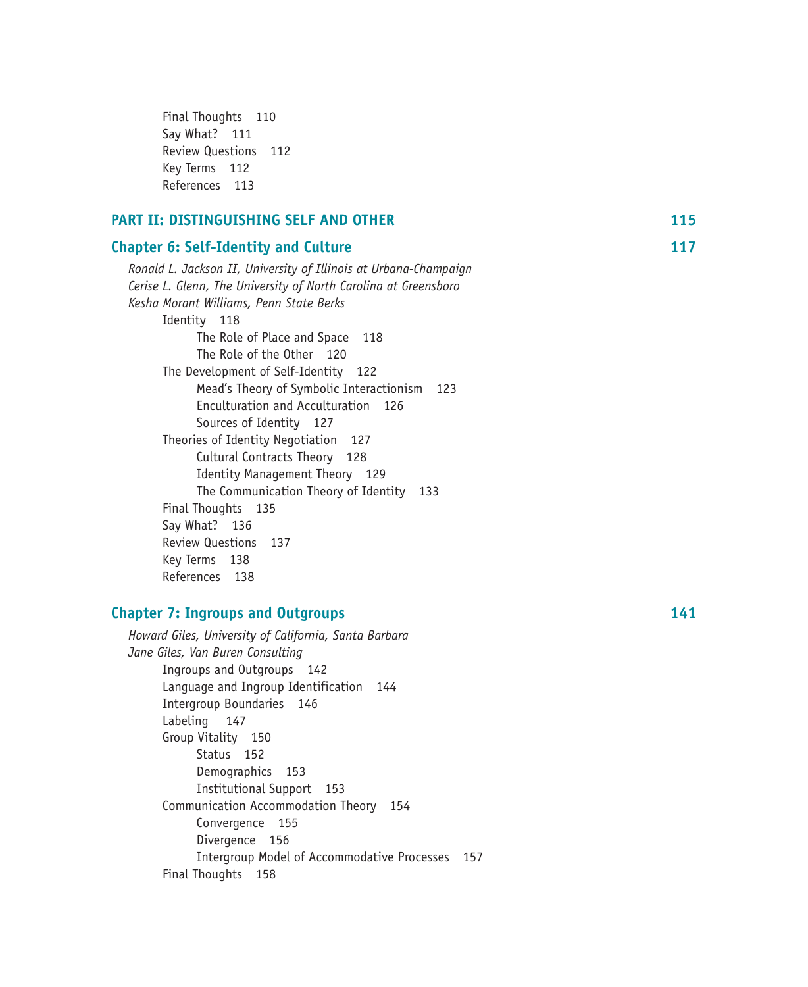| Final Thoughts 110      |     |
|-------------------------|-----|
| Say What? 111           |     |
| <b>Review Questions</b> | 112 |
| Key Terms 112           |     |
| References 113          |     |

| <b>PART II: DISTINGUISHING SELF AND OTHER</b>                           | 115 |
|-------------------------------------------------------------------------|-----|
| <b>Chapter 6: Self-Identity and Culture</b>                             | 117 |
| Ronald L. Jackson II, University of Illinois at Urbana-Champaign        |     |
| Cerise L. Glenn, The University of North Carolina at Greensboro         |     |
| Kesha Morant Williams, Penn State Berks                                 |     |
| Identity 118                                                            |     |
| The Role of Place and Space<br>118                                      |     |
| The Role of the Other 120                                               |     |
| The Development of Self-Identity 122                                    |     |
| Mead's Theory of Symbolic Interactionism 123                            |     |
| Enculturation and Acculturation 126                                     |     |
| Sources of Identity 127                                                 |     |
| Theories of Identity Negotiation<br>127                                 |     |
| Cultural Contracts Theory 128                                           |     |
| <b>Identity Management Theory</b> 129                                   |     |
| The Communication Theory of Identity 133                                |     |
| Final Thoughts 135                                                      |     |
| Say What? 136                                                           |     |
| Review Questions<br>137                                                 |     |
| Key Terms 138                                                           |     |
| References 138                                                          |     |
| <b>Chapter 7: Ingroups and Outgroups</b>                                | 141 |
|                                                                         |     |
| Howard Giles, University of California, Santa Barbara                   |     |
| Jane Giles, Van Buren Consulting                                        |     |
| Ingroups and Outgroups 142                                              |     |
| Language and Ingroup Identification<br>144<br>Intergroup Boundaries 146 |     |
| Labeling<br>147                                                         |     |
| Group Vitality 150                                                      |     |
| Status 152                                                              |     |
| Demographics 153                                                        |     |
| <b>Institutional Support</b><br>153                                     |     |

Communication Accommodation Theory 154

Intergroup Model of Accommodative Processes 157

Convergence 155 Divergence 156

Final Thoughts 158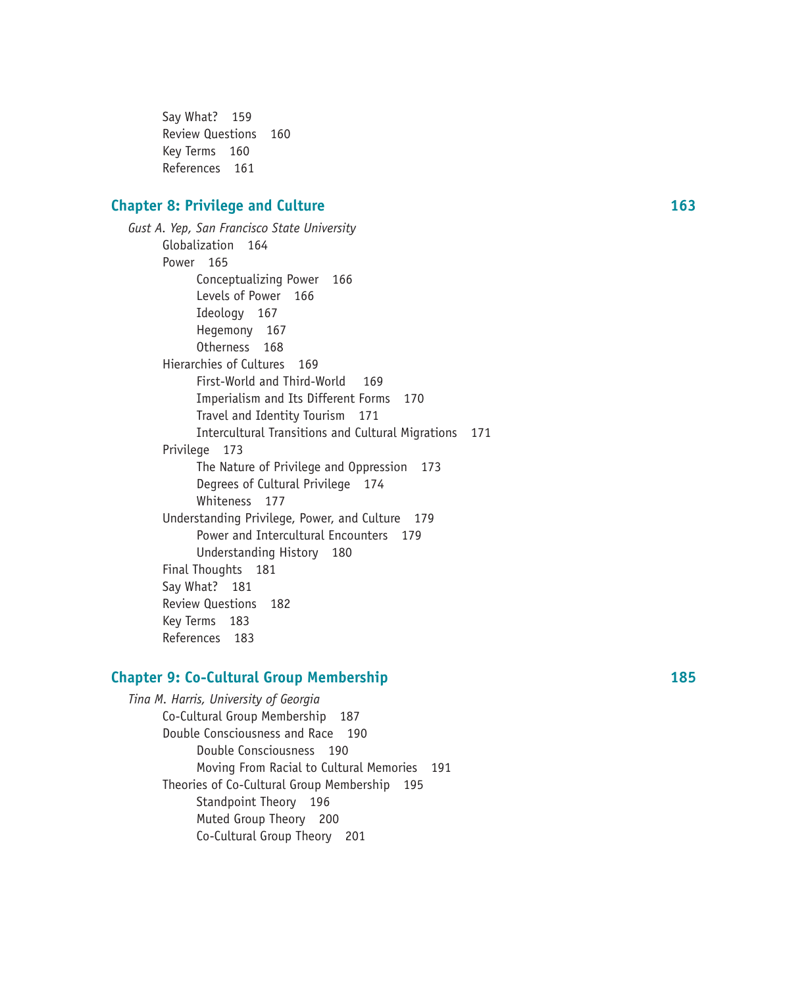Say What? 159 Review Questions 160 Key Terms 160 References 161

#### **Chapter 8: Privilege and Culture 163**

*Gust A. Yep, San Francisco State University* Globalization 164 Power 165 Conceptualizing Power 166 Levels of Power 166 Ideology 167 Hegemony 167 Otherness 168 Hierarchies of Cultures 169 First-World and Third-World 169 Imperialism and Its Different Forms 170 Travel and Identity Tourism 171 Intercultural Transitions and Cultural Migrations 171 Privilege 173 The Nature of Privilege and Oppression 173 Degrees of Cultural Privilege 174 Whiteness 177 Understanding Privilege, Power, and Culture 179 Power and Intercultural Encounters 179 Understanding History 180 Final Thoughts 181 Say What? 181 Review Questions 182 Key Terms 183 References 183

#### **Chapter 9: Co-Cultural Group Membership 185**

*Tina M. Harris, University of Georgia* Co-Cultural Group Membership 187 Double Consciousness and Race 190 Double Consciousness 190 Moving From Racial to Cultural Memories 191 Theories of Co-Cultural Group Membership 195 Standpoint Theory 196 Muted Group Theory 200 Co-Cultural Group Theory 201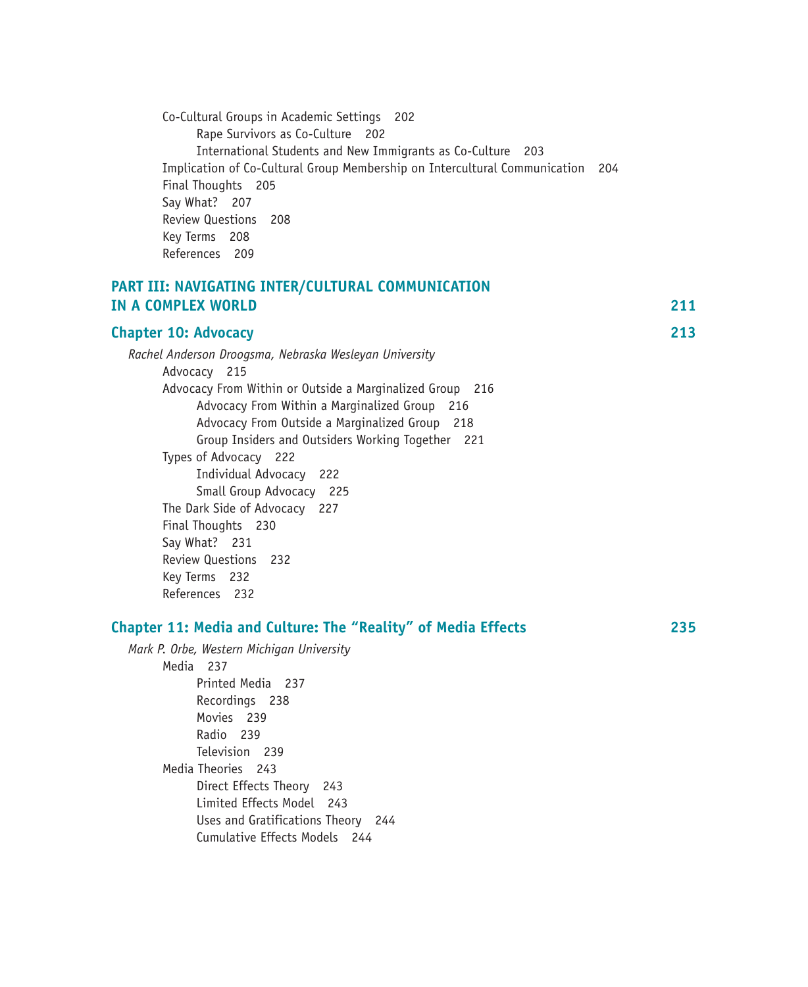| Co-Cultural Groups in Academic Settings 202                                    |  |
|--------------------------------------------------------------------------------|--|
| Rape Survivors as Co-Culture 202                                               |  |
| International Students and New Immigrants as Co-Culture 203                    |  |
| Implication of Co-Cultural Group Membership on Intercultural Communication 204 |  |
| Final Thoughts 205                                                             |  |
| Say What? 207                                                                  |  |
| Review Questions 208                                                           |  |
| Key Terms 208                                                                  |  |
| References 209                                                                 |  |

#### **PART III: NAVIGATING INTER/CULTURAL COMMUNICATION IN A COMPLEX WORLD 211**

| IN A CUPILELA WUNED                                           | .   |
|---------------------------------------------------------------|-----|
| <b>Chapter 10: Advocacy</b>                                   | 213 |
| Rachel Anderson Droogsma, Nebraska Wesleyan University        |     |
| Advocacy 215                                                  |     |
| Advocacy From Within or Outside a Marginalized Group 216      |     |
| Advocacy From Within a Marginalized Group 216                 |     |
| Advocacy From Outside a Marginalized Group 218                |     |
| Group Insiders and Outsiders Working Together 221             |     |
| Types of Advocacy 222                                         |     |
| Individual Advocacy 222                                       |     |
| Small Group Advocacy 225                                      |     |
| The Dark Side of Advocacy 227                                 |     |
| Final Thoughts 230                                            |     |
| Say What? 231                                                 |     |
| Review Questions 232                                          |     |
| Key Terms 232                                                 |     |
| References 232                                                |     |
| Chapter 11: Media and Culture: The "Reality" of Media Effects | 235 |
| Mark P Orhe Western Michiaan University                       |     |
|                                                               |     |

*Mark P. Orbe, Western Michigan University* Media237 Printed Media 237 Recordings 238 Movies 239 Radio 239 Television 239 Media Theories243 Direct Effects Theory 243 Limited Effects Model 243 Uses and Gratifications Theory 244 Cumulative Effects Models 244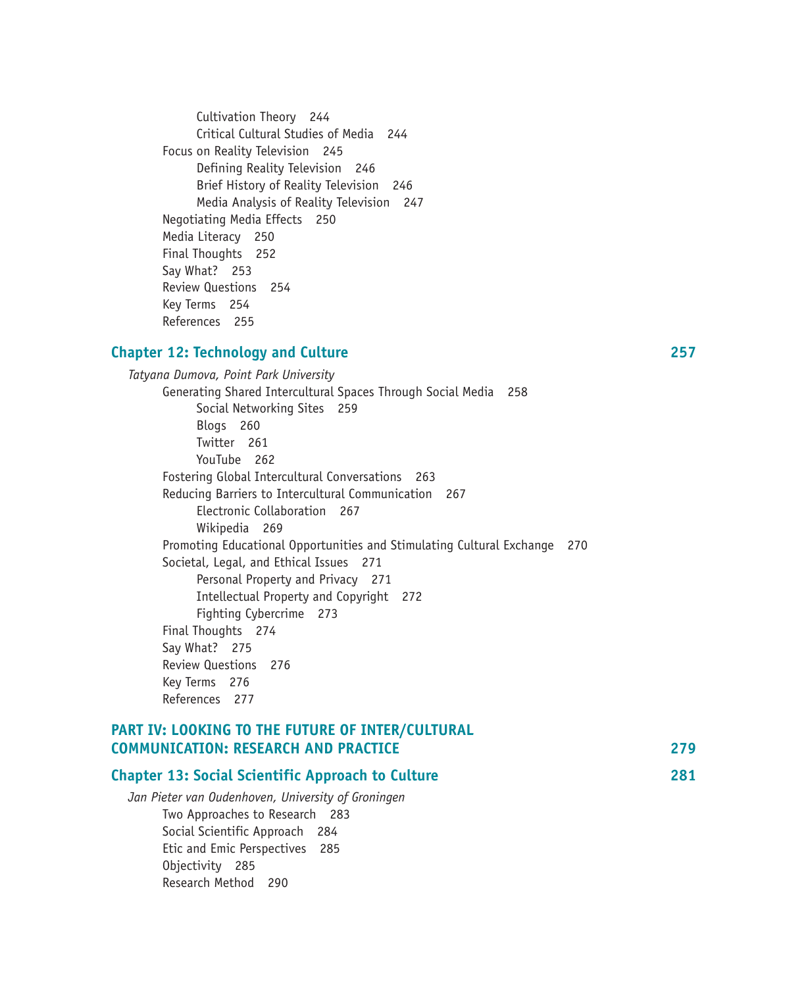Cultivation Theory 244 Critical Cultural Studies of Media 244 Focus on Reality Television245 Defining Reality Television 246 Brief History of Reality Television 246 Media Analysis of Reality Television 247 Negotiating Media Effects 250 Media Literacy 250 Final Thoughts 252 Say What? 253 Review Questions 254 Key Terms 254 References 255

#### **Chapter 12: Technology and Culture 257**

*Tatyana Dumova, Point Park University* Generating Shared Intercultural Spaces Through Social Media 258 Social Networking Sites 259 Blogs 260 Twitter 261 YouTube 262 Fostering Global Intercultural Conversations 263 Reducing Barriers to Intercultural Communication 267 Electronic Collaboration 267 Wikipedia 269 Promoting Educational Opportunities and Stimulating Cultural Exchange 270 Societal, Legal, and Ethical Issues 271 Personal Property and Privacy 271 Intellectual Property and Copyright 272 Fighting Cybercrime 273 Final Thoughts 274 Say What? 275 Review Questions 276 Key Terms 276 References 277

# **PART IV: LOOKING TO THE FUTURE OF INTER/CULTURAL COMMUNICATION: RESEARCH AND PRACTICE 279**

| <b>Chapter 13: Social Scientific Approach to Culture</b> | 281 |
|----------------------------------------------------------|-----|
| Jan Pieter van Oudenhoven, University of Groningen       |     |
| Two Approaches to Research 283                           |     |
| Social Scientific Approach 284                           |     |
| Etic and Emic Perspectives 285                           |     |
|                                                          |     |

Objectivity 285 Research Method 290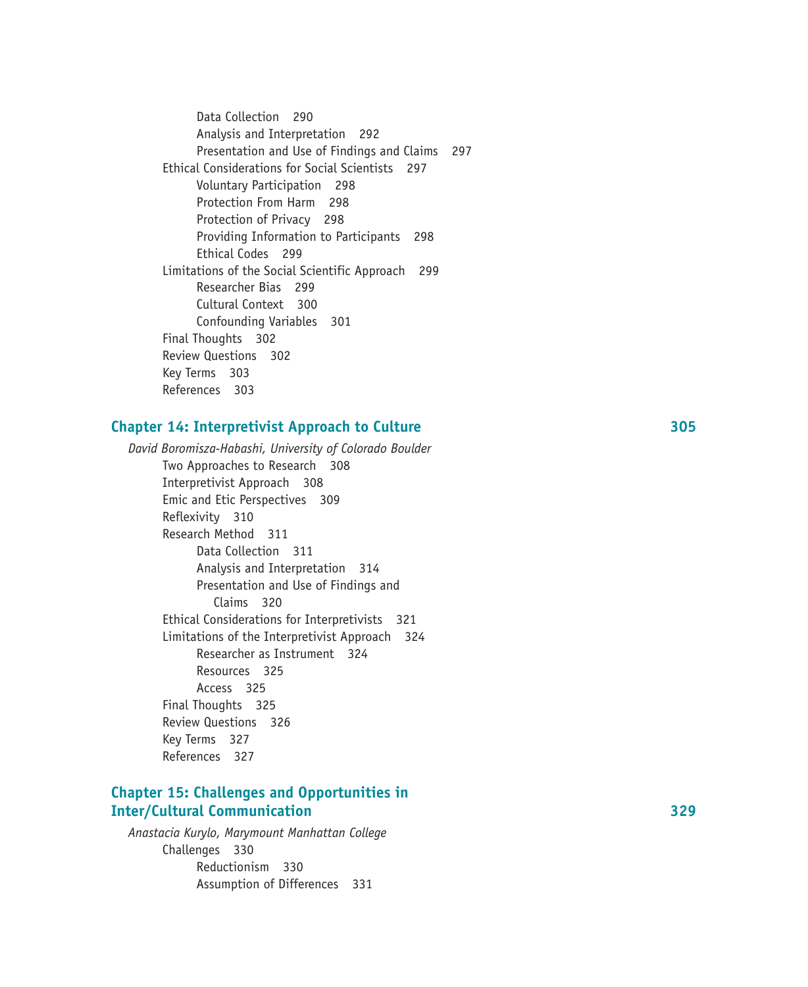Data Collection 290 Analysis and Interpretation 292 Presentation and Use of Findings and Claims 297 Ethical Considerations for Social Scientists 297 Voluntary Participation 298 Protection From Harm 298 Protection of Privacy 298 Providing Information to Participants 298 Ethical Codes 299 Limitations of the Social Scientific Approach 299 Researcher Bias 299 Cultural Context 300 Confounding Variables 301 Final Thoughts 302 Review Questions 302 Key Terms 303 References 303

#### **Chapter 14: Interpretivist Approach to Culture 305**

*David Boromisza-Habashi, University of Colorado Boulder* Two Approaches to Research 308 Interpretivist Approach 308 Emic and Etic Perspectives 309 Reflexivity 310 Research Method 311 Data Collection 311 Analysis and Interpretation 314 Presentation and Use of Findings and Claims 320 Ethical Considerations for Interpretivists 321 Limitations of the Interpretivist Approach 324 Researcher as Instrument 324 Resources 325 Access 325 Final Thoughts 325 Review Questions 326 Key Terms 327 References 327

# **Chapter 15: Challenges and Opportunities in Inter/Cultural Communication 329**

*Anastacia Kurylo, Marymount Manhattan College* Challenges 330 Reductionism 330 Assumption of Differences 331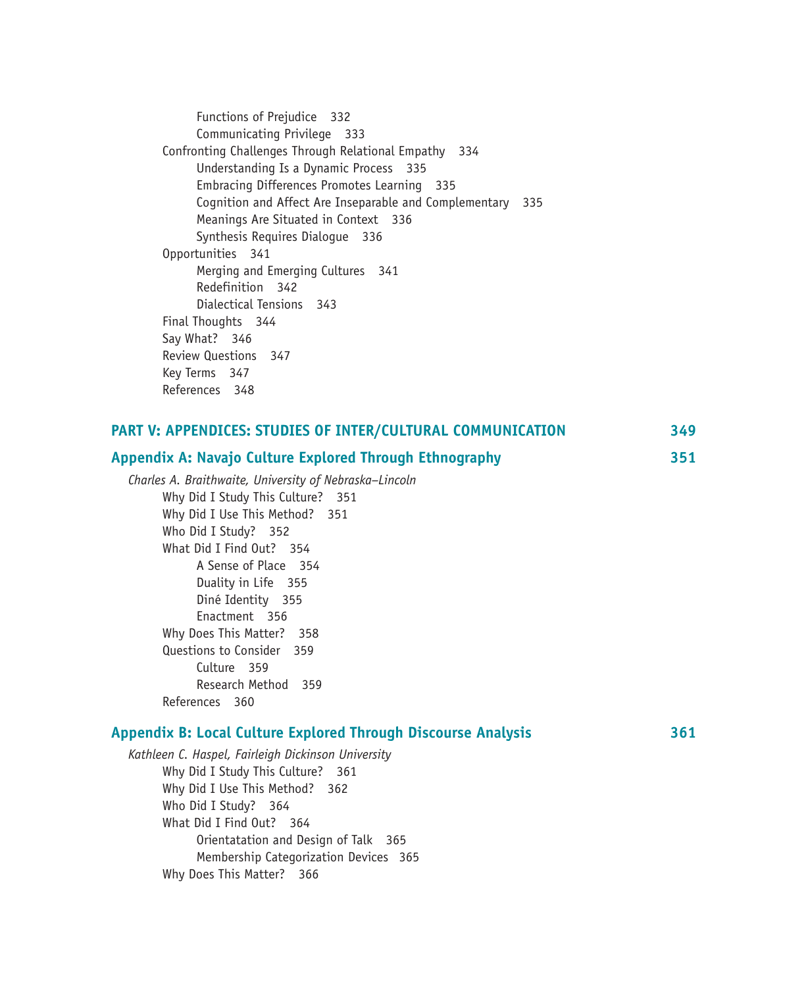Functions of Prejudice 332 Communicating Privilege 333 Confronting Challenges Through Relational Empathy 334 Understanding Is a Dynamic Process 335 Embracing Differences Promotes Learning 335 Cognition and Affect Are Inseparable and Complementary 335 Meanings Are Situated in Context 336 Synthesis Requires Dialogue 336 Opportunities 341 Merging and Emerging Cultures 341 Redefinition 342 Dialectical Tensions 343 Final Thoughts 344 Say What? 346 Review Questions 347 Key Terms 347 References 348

| PART V: APPENDICES: STUDIES OF INTER/CULTURAL COMMUNICATION          | 349 |
|----------------------------------------------------------------------|-----|
| Appendix A: Navajo Culture Explored Through Ethnography              | 351 |
| Charles A. Braithwaite, University of Nebraska-Lincoln               |     |
| Why Did I Study This Culture? 351                                    |     |
| Why Did I Use This Method? 351                                       |     |
| Who Did I Study? 352                                                 |     |
| What Did I Find Out? 354                                             |     |
| A Sense of Place 354                                                 |     |
| Duality in Life 355                                                  |     |
| Diné Identity 355                                                    |     |
| Enactment 356                                                        |     |
| Why Does This Matter? 358                                            |     |
| Questions to Consider 359                                            |     |
| Culture 359                                                          |     |
| Research Method 359                                                  |     |
| References 360                                                       |     |
| <b>Appendix B: Local Culture Explored Through Discourse Analysis</b> | 361 |
| Kathleen C. Haspel, Fairleigh Dickinson University                   |     |
| Why Did I Study This Culture? 361                                    |     |
| Why Did I Use This Method? 362                                       |     |
| Who Did I Study? 364                                                 |     |
| What Did I Find Out? 364                                             |     |
| Orientatation and Design of Talk 365                                 |     |
| Membership Categorization Devices 365                                |     |

Why Does This Matter? 366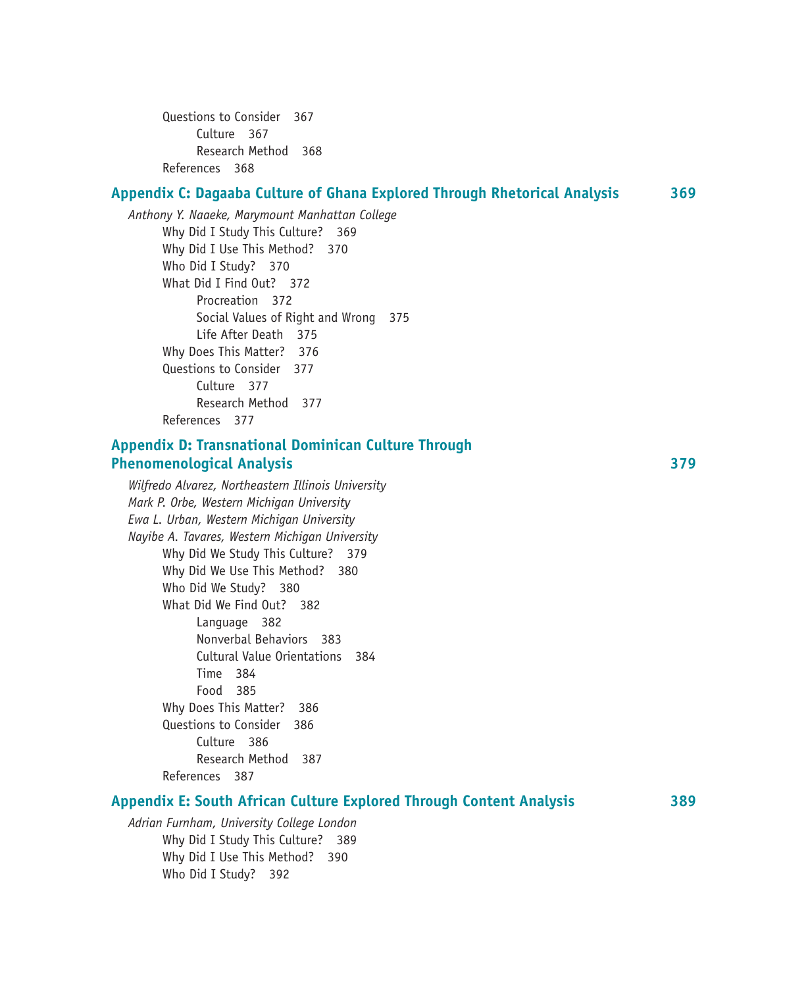Questions to Consider 367 Culture 367 Research Method 368 References 368

### **Appendix C: Dagaaba Culture of Ghana Explored Through Rhetorical Analysis 369**

*Anthony Y. Naaeke, Marymount Manhattan College* Why Did I Study This Culture? 369 Why Did I Use This Method? 370 Who Did I Study? 370 What Did I Find Out? 372 Procreation 372 Social Values of Right and Wrong 375 Life After Death 375 Why Does This Matter? 376 Questions to Consider 377 Culture 377 Research Method 377 References 377

# **Appendix D: Transnational Dominican Culture Through Phenomenological Analysis 379**

*Wilfredo Alvarez, Northeastern Illinois University Mark P. Orbe, Western Michigan University Ewa L. Urban, Western Michigan University Nayibe A. Tavares, Western Michigan University* Why Did We Study This Culture? 379 Why Did We Use This Method? 380 Who Did We Study? 380 What Did We Find Out? 382 Language 382 Nonverbal Behaviors 383 Cultural Value Orientations 384 Time 384 Food 385 Why Does This Matter? 386 Questions to Consider 386 Culture 386 Research Method 387 References 387

# **Appendix E: South African Culture Explored Through Content Analysis 389**

*Adrian Furnham, University College London* Why Did I Study This Culture? 389 Why Did I Use This Method? 390 Who Did I Study? 392